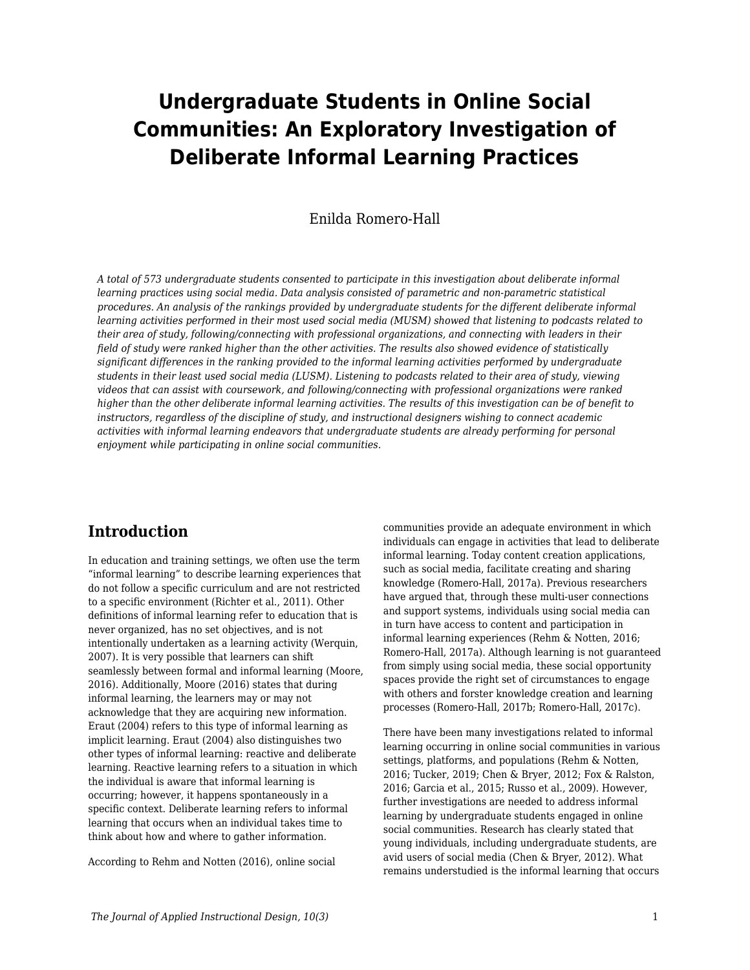# **Undergraduate Students in Online Social Communities: An Exploratory Investigation of Deliberate Informal Learning Practices**

Enilda Romero-Hall

*A total of 573 undergraduate students consented to participate in this investigation about deliberate informal learning practices using social media. Data analysis consisted of parametric and non-parametric statistical procedures. An analysis of the rankings provided by undergraduate students for the different deliberate informal learning activities performed in their most used social media (MUSM) showed that listening to podcasts related to their area of study, following/connecting with professional organizations, and connecting with leaders in their field of study were ranked higher than the other activities. The results also showed evidence of statistically significant differences in the ranking provided to the informal learning activities performed by undergraduate students in their least used social media (LUSM). Listening to podcasts related to their area of study, viewing videos that can assist with coursework, and following/connecting with professional organizations were ranked higher than the other deliberate informal learning activities. The results of this investigation can be of benefit to instructors, regardless of the discipline of study, and instructional designers wishing to connect academic activities with informal learning endeavors that undergraduate students are already performing for personal enjoyment while participating in online social communities.*

# **Introduction**

In education and training settings, we often use the term "informal learning" to describe learning experiences that do not follow a specific curriculum and are not restricted to a specific environment (Richter et al., 2011). Other definitions of informal learning refer to education that is never organized, has no set objectives, and is not intentionally undertaken as a learning activity (Werquin, 2007). It is very possible that learners can shift seamlessly between formal and informal learning (Moore, 2016). Additionally, Moore (2016) states that during informal learning, the learners may or may not acknowledge that they are acquiring new information. Eraut (2004) refers to this type of informal learning as implicit learning. Eraut (2004) also distinguishes two other types of informal learning: reactive and deliberate learning. Reactive learning refers to a situation in which the individual is aware that informal learning is occurring; however, it happens spontaneously in a specific context. Deliberate learning refers to informal learning that occurs when an individual takes time to think about how and where to gather information.

According to Rehm and Notten (2016), online social

communities provide an adequate environment in which individuals can engage in activities that lead to deliberate informal learning. Today content creation applications, such as social media, facilitate creating and sharing knowledge (Romero-Hall, 2017a). Previous researchers have argued that, through these multi-user connections and support systems, individuals using social media can in turn have access to content and participation in informal learning experiences (Rehm & Notten, 2016; Romero-Hall, 2017a). Although learning is not guaranteed from simply using social media, these social opportunity spaces provide the right set of circumstances to engage with others and forster knowledge creation and learning processes (Romero-Hall, 2017b; Romero-Hall, 2017c).

There have been many investigations related to informal learning occurring in online social communities in various settings, platforms, and populations (Rehm & Notten, 2016; Tucker, 2019; Chen & Bryer, 2012; Fox & Ralston, 2016; Garcia et al., 2015; Russo et al., 2009). However, further investigations are needed to address informal learning by undergraduate students engaged in online social communities. Research has clearly stated that young individuals, including undergraduate students, are avid users of social media (Chen & Bryer, 2012). What remains understudied is the informal learning that occurs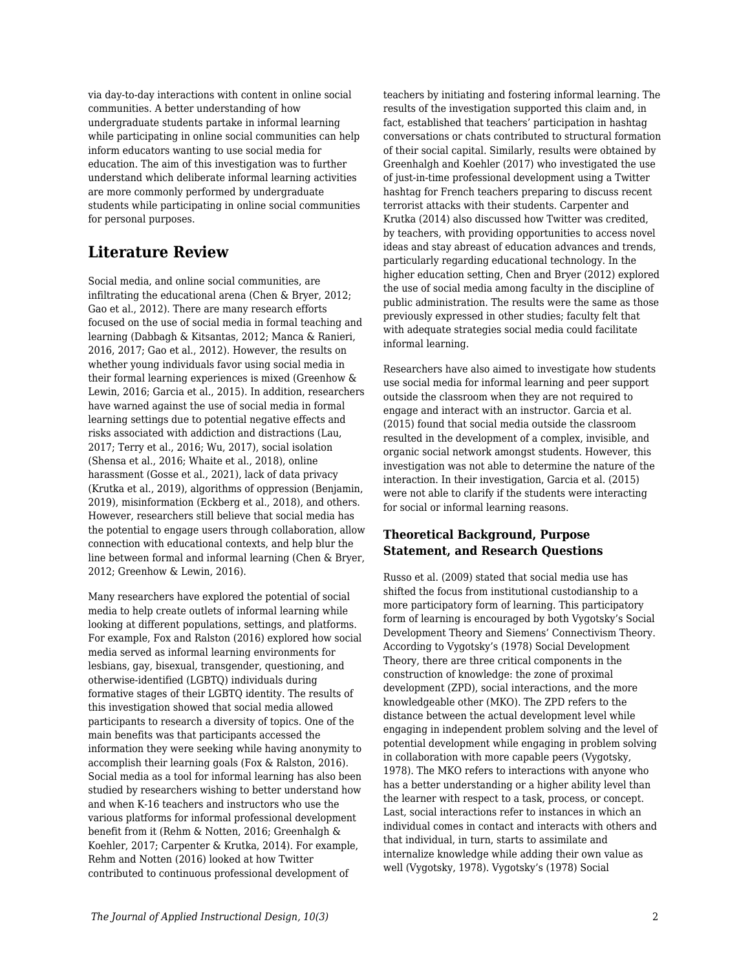via day-to-day interactions with content in online social communities. A better understanding of how undergraduate students partake in informal learning while participating in online social communities can help inform educators wanting to use social media for education. The aim of this investigation was to further understand which deliberate informal learning activities are more commonly performed by undergraduate students while participating in online social communities for personal purposes.

# **Literature Review**

Social media, and online social communities, are infiltrating the educational arena (Chen & Bryer, 2012; Gao et al., 2012). There are many research efforts focused on the use of social media in formal teaching and learning (Dabbagh & Kitsantas, 2012; Manca & Ranieri, 2016, 2017; Gao et al., 2012). However, the results on whether young individuals favor using social media in their formal learning experiences is mixed (Greenhow & Lewin, 2016; Garcia et al., 2015). In addition, researchers have warned against the use of social media in formal learning settings due to potential negative effects and risks associated with addiction and distractions (Lau, 2017; Terry et al., 2016; Wu, 2017), social isolation (Shensa et al., 2016; Whaite et al., 2018), online harassment (Gosse et al., 2021), lack of data privacy (Krutka et al., 2019), algorithms of oppression (Benjamin, 2019), misinformation (Eckberg et al., 2018), and others. However, researchers still believe that social media has the potential to engage users through collaboration, allow connection with educational contexts, and help blur the line between formal and informal learning (Chen & Bryer, 2012; Greenhow & Lewin, 2016).

Many researchers have explored the potential of social media to help create outlets of informal learning while looking at different populations, settings, and platforms. For example, Fox and Ralston (2016) explored how social media served as informal learning environments for lesbians, gay, bisexual, transgender, questioning, and otherwise-identified (LGBTQ) individuals during formative stages of their LGBTQ identity. The results of this investigation showed that social media allowed participants to research a diversity of topics. One of the main benefits was that participants accessed the information they were seeking while having anonymity to accomplish their learning goals (Fox & Ralston, 2016). Social media as a tool for informal learning has also been studied by researchers wishing to better understand how and when K-16 teachers and instructors who use the various platforms for informal professional development benefit from it (Rehm & Notten, 2016; Greenhalgh & Koehler, 2017; Carpenter & Krutka, 2014). For example, Rehm and Notten (2016) looked at how Twitter contributed to continuous professional development of

teachers by initiating and fostering informal learning. The results of the investigation supported this claim and, in fact, established that teachers' participation in hashtag conversations or chats contributed to structural formation of their social capital. Similarly, results were obtained by Greenhalgh and Koehler (2017) who investigated the use of just-in-time professional development using a Twitter hashtag for French teachers preparing to discuss recent terrorist attacks with their students. Carpenter and Krutka (2014) also discussed how Twitter was credited, by teachers, with providing opportunities to access novel ideas and stay abreast of education advances and trends, particularly regarding educational technology. In the higher education setting, Chen and Bryer (2012) explored the use of social media among faculty in the discipline of public administration. The results were the same as those previously expressed in other studies; faculty felt that with adequate strategies social media could facilitate informal learning.

Researchers have also aimed to investigate how students use social media for informal learning and peer support outside the classroom when they are not required to engage and interact with an instructor. Garcia et al. (2015) found that social media outside the classroom resulted in the development of a complex, invisible, and organic social network amongst students. However, this investigation was not able to determine the nature of the interaction. In their investigation, Garcia et al. (2015) were not able to clarify if the students were interacting for social or informal learning reasons.

# **Theoretical Background, Purpose Statement, and Research Questions**

Russo et al. (2009) stated that social media use has shifted the focus from institutional custodianship to a more participatory form of learning. This participatory form of learning is encouraged by both Vygotsky's Social Development Theory and Siemens' Connectivism Theory. According to Vygotsky's (1978) Social Development Theory, there are three critical components in the construction of knowledge: the zone of proximal development (ZPD), social interactions, and the more knowledgeable other (MKO). The ZPD refers to the distance between the actual development level while engaging in independent problem solving and the level of potential development while engaging in problem solving in collaboration with more capable peers (Vygotsky, 1978). The MKO refers to interactions with anyone who has a better understanding or a higher ability level than the learner with respect to a task, process, or concept. Last, social interactions refer to instances in which an individual comes in contact and interacts with others and that individual, in turn, starts to assimilate and internalize knowledge while adding their own value as well (Vygotsky, 1978). Vygotsky's (1978) Social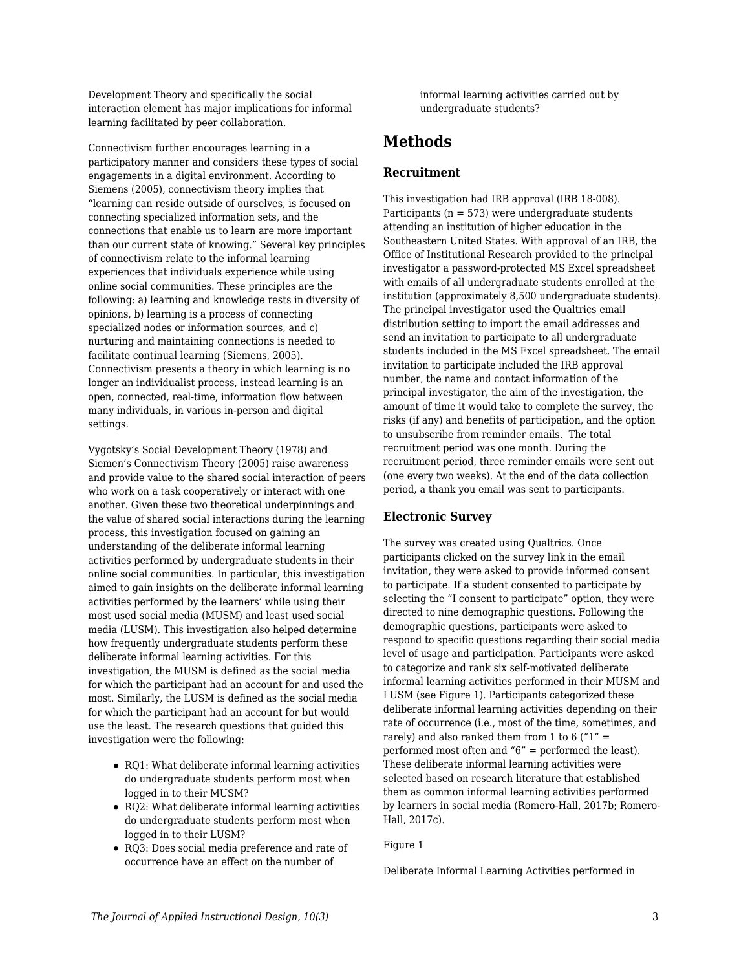Development Theory and specifically the social interaction element has major implications for informal learning facilitated by peer collaboration.

Connectivism further encourages learning in a participatory manner and considers these types of social engagements in a digital environment. According to Siemens (2005), connectivism theory implies that "learning can reside outside of ourselves, is focused on connecting specialized information sets, and the connections that enable us to learn are more important than our current state of knowing." Several key principles of connectivism relate to the informal learning experiences that individuals experience while using online social communities. These principles are the following: a) learning and knowledge rests in diversity of opinions, b) learning is a process of connecting specialized nodes or information sources, and c) nurturing and maintaining connections is needed to facilitate continual learning (Siemens, 2005). Connectivism presents a theory in which learning is no longer an individualist process, instead learning is an open, connected, real-time, information flow between many individuals, in various in-person and digital settings.

Vygotsky's Social Development Theory (1978) and Siemen's Connectivism Theory (2005) raise awareness and provide value to the shared social interaction of peers who work on a task cooperatively or interact with one another. Given these two theoretical underpinnings and the value of shared social interactions during the learning process, this investigation focused on gaining an understanding of the deliberate informal learning activities performed by undergraduate students in their online social communities. In particular, this investigation aimed to gain insights on the deliberate informal learning activities performed by the learners' while using their most used social media (MUSM) and least used social media (LUSM). This investigation also helped determine how frequently undergraduate students perform these deliberate informal learning activities. For this investigation, the MUSM is defined as the social media for which the participant had an account for and used the most. Similarly, the LUSM is defined as the social media for which the participant had an account for but would use the least. The research questions that guided this investigation were the following:

- RQ1: What deliberate informal learning activities do undergraduate students perform most when logged in to their MUSM?
- RQ2: What deliberate informal learning activities do undergraduate students perform most when logged in to their LUSM?
- RQ3: Does social media preference and rate of occurrence have an effect on the number of

informal learning activities carried out by undergraduate students?

# **Methods**

### **Recruitment**

This investigation had IRB approval (IRB 18-008). Participants ( $n = 573$ ) were undergraduate students attending an institution of higher education in the Southeastern United States. With approval of an IRB, the Office of Institutional Research provided to the principal investigator a password-protected MS Excel spreadsheet with emails of all undergraduate students enrolled at the institution (approximately 8,500 undergraduate students). The principal investigator used the Qualtrics email distribution setting to import the email addresses and send an invitation to participate to all undergraduate students included in the MS Excel spreadsheet. The email invitation to participate included the IRB approval number, the name and contact information of the principal investigator, the aim of the investigation, the amount of time it would take to complete the survey, the risks (if any) and benefits of participation, and the option to unsubscribe from reminder emails. The total recruitment period was one month. During the recruitment period, three reminder emails were sent out (one every two weeks). At the end of the data collection period, a thank you email was sent to participants.

# **Electronic Survey**

The survey was created using Qualtrics. Once participants clicked on the survey link in the email invitation, they were asked to provide informed consent to participate. If a student consented to participate by selecting the "I consent to participate" option, they were directed to nine demographic questions. Following the demographic questions, participants were asked to respond to specific questions regarding their social media level of usage and participation. Participants were asked to categorize and rank six self-motivated deliberate informal learning activities performed in their MUSM and LUSM (see Figure 1). Participants categorized these deliberate informal learning activities depending on their rate of occurrence (i.e., most of the time, sometimes, and rarely) and also ranked them from 1 to 6 (" $1"$  = performed most often and "6" = performed the least). These deliberate informal learning activities were selected based on research literature that established them as common informal learning activities performed by learners in social media (Romero-Hall, 2017b; Romero-Hall, 2017c).

### Figure 1

Deliberate Informal Learning Activities performed in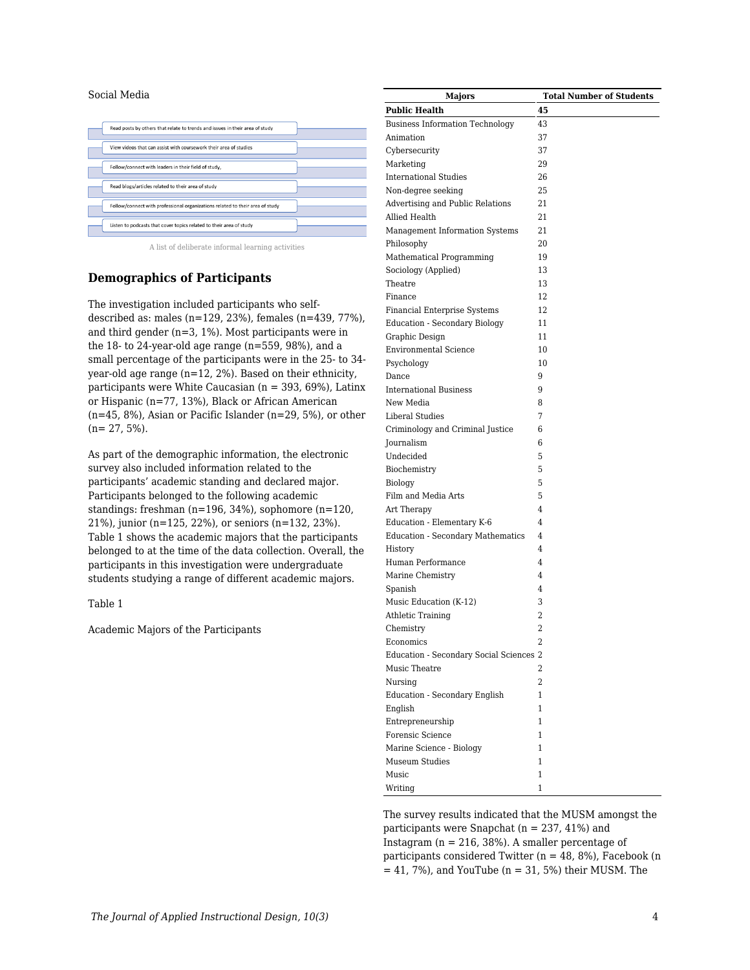#### Social Media

| Read posts by others that relate to trends and issues in their area of study  |
|-------------------------------------------------------------------------------|
| View videos that can assist with coursework their area of studies             |
| Follow/connect with leaders in their field of study.                          |
| Read blogs/articles related to their area of study                            |
| Follow/connect with professional organizations related to their area of study |
| Listen to podcasts that cover topics related to their area of study           |

A list of deliberate informal learning activities

#### **Demographics of Participants**

The investigation included participants who selfdescribed as: males (n=129, 23%), females (n=439, 77%), and third gender (n=3, 1%). Most participants were in the 18- to 24-year-old age range (n=559, 98%), and a small percentage of the participants were in the 25- to 34 year-old age range (n=12, 2%). Based on their ethnicity, participants were White Caucasian ( $n = 393, 69\%$ ), Latinx or Hispanic (n=77, 13%), Black or African American  $(n=45, 8\%)$ , Asian or Pacific Islander  $(n=29, 5\%)$ , or other  $(n= 27, 5\%).$ 

As part of the demographic information, the electronic survey also included information related to the participants' academic standing and declared major. Participants belonged to the following academic standings: freshman (n=196, 34%), sophomore (n=120, 21%), junior (n=125, 22%), or seniors (n=132, 23%). Table 1 shows the academic majors that the participants belonged to at the time of the data collection. Overall, the participants in this investigation were undergraduate students studying a range of different academic majors.

#### Table 1

Academic Majors of the Participants

| <b>Majors</b>                                     | <b>Total Number of Students</b> |
|---------------------------------------------------|---------------------------------|
| <b>Public Health</b>                              | 45                              |
| <b>Business Information Technology</b>            | 43                              |
| Animation                                         | 37                              |
| Cybersecurity                                     | 37                              |
| Marketing                                         | 29                              |
| <b>International Studies</b>                      | 26                              |
| Non-degree seeking                                | 25                              |
| Advertising and Public Relations                  | 21                              |
| Allied Health                                     | 21                              |
| Management Information Systems                    | 21                              |
| Philosophy                                        | 20                              |
| Mathematical Programming                          | 19                              |
| Sociology (Applied)                               | 13                              |
| Theatre                                           | 13                              |
| Finance                                           | 12                              |
| <b>Financial Enterprise Systems</b>               | 12                              |
| <b>Education - Secondary Biology</b>              | 11                              |
| Graphic Design                                    | 11                              |
| <b>Environmental Science</b>                      | 10                              |
| Psychology                                        | 10                              |
| Dance                                             | 9                               |
| <b>International Business</b>                     | 9                               |
| New Media                                         | 8                               |
| <b>Liberal Studies</b>                            | 7                               |
| Criminology and Criminal Justice                  | 6                               |
| Journalism                                        | 6                               |
| Undecided                                         | 5                               |
| Biochemistry                                      | 5                               |
| Biology                                           | 5                               |
| Film and Media Arts                               | 5                               |
| Art Therapy                                       | 4                               |
| Education - Elementary K-6                        | 4                               |
| <b>Education - Secondary Mathematics</b>          | 4                               |
| History                                           | 4                               |
| Human Performance                                 | 4                               |
| Marine Chemistry                                  | 4                               |
| Spanish                                           | 4                               |
| Music Education (K-12)                            | 3                               |
| <b>Athletic Training</b>                          | 2                               |
| Chemistry                                         | 2                               |
| Economics                                         |                                 |
| Education - Secondary Social Sciences 2           |                                 |
| Music Theatre                                     | 2                               |
| Nursing                                           | 2                               |
| <b>Education - Secondary English</b>              | 1                               |
| English                                           | 1                               |
| Entrepreneurship                                  | $\mathbf{1}$                    |
|                                                   | $\mathbf{1}$                    |
| Forensic Science                                  |                                 |
| Marine Science - Biology<br><b>Museum Studies</b> | $\mathbf{1}$                    |
| Music                                             | 1<br>1                          |
|                                                   |                                 |
| Writing                                           | $\mathbf{1}$                    |

The survey results indicated that the MUSM amongst the participants were Snapchat (n = 237, 41%) and Instagram ( $n = 216$ , 38%). A smaller percentage of participants considered Twitter ( $n = 48$ , 8%), Facebook (n  $= 41, 7\%)$ , and YouTube (n = 31, 5%) their MUSM. The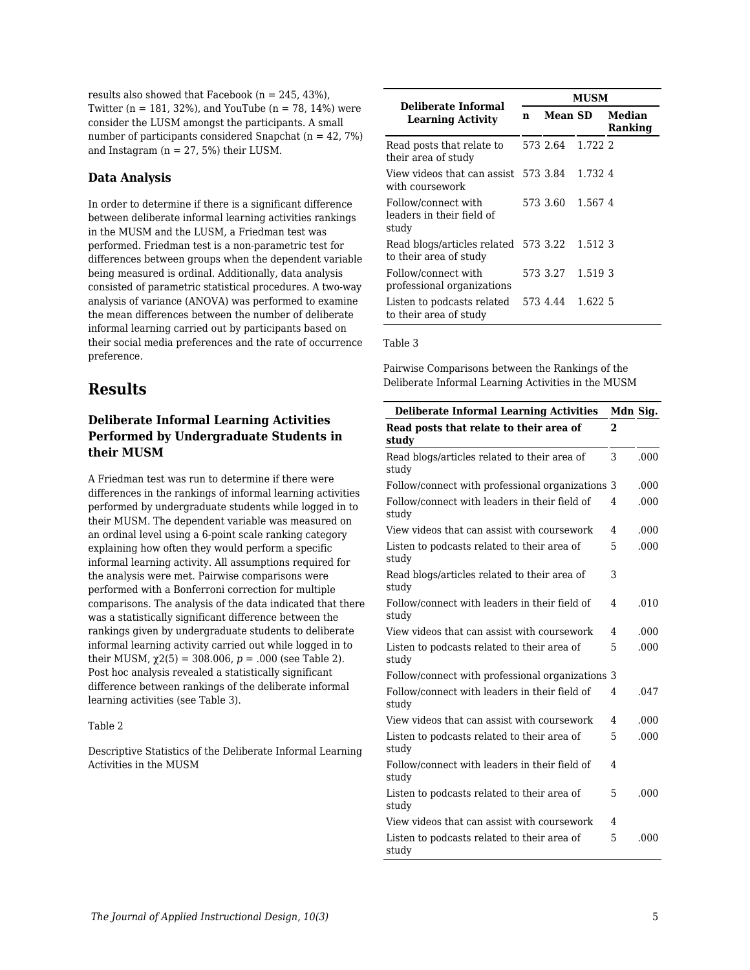results also showed that Facebook ( $n = 245, 43\%$ ), Twitter ( $n = 181, 32\%$ ), and YouTube ( $n = 78, 14\%$ ) were consider the LUSM amongst the participants. A small number of participants considered Snapchat ( $n = 42, 7\%)$ and Instagram ( $n = 27, 5%$ ) their LUSM.

### **Data Analysis**

In order to determine if there is a significant difference between deliberate informal learning activities rankings in the MUSM and the LUSM, a Friedman test was performed. Friedman test is a non-parametric test for differences between groups when the dependent variable being measured is ordinal. Additionally, data analysis consisted of parametric statistical procedures. A two-way analysis of variance (ANOVA) was performed to examine the mean differences between the number of deliberate informal learning carried out by participants based on their social media preferences and the rate of occurrence preference.

# **Results**

# **Deliberate Informal Learning Activities Performed by Undergraduate Students in their MUSM**

A Friedman test was run to determine if there were differences in the rankings of informal learning activities performed by undergraduate students while logged in to their MUSM. The dependent variable was measured on an ordinal level using a 6-point scale ranking category explaining how often they would perform a specific informal learning activity. All assumptions required for the analysis were met. Pairwise comparisons were performed with a Bonferroni correction for multiple comparisons. The analysis of the data indicated that there was a statistically significant difference between the rankings given by undergraduate students to deliberate informal learning activity carried out while logged in to their MUSM,  $\gamma$ 2(5) = 308.006,  $p = .000$  (see Table 2). Post hoc analysis revealed a statistically significant difference between rankings of the deliberate informal learning activities (see Table 3).

### Table 2

Descriptive Statistics of the Deliberate Informal Learning Activities in the MUSM

|                                                                | <b>MUSM</b> |                |         |                   |
|----------------------------------------------------------------|-------------|----------------|---------|-------------------|
| Deliberate Informal<br><b>Learning Activity</b>                | n           | <b>Mean SD</b> |         | Median<br>Ranking |
| Read posts that relate to<br>their area of study               |             | 573 2.64       | 1.722 2 |                   |
| View videos that can assist<br>with coursework                 |             | 573 3.84       | 1.7324  |                   |
| Follow/connect with<br>leaders in their field of<br>study      |             | 573 3.60       | 1.5674  |                   |
| Read blogs/articles related 573 3.22<br>to their area of study |             |                | 1.512.3 |                   |
| Follow/connect with<br>professional organizations              |             | 573 3.27       | 1.519 3 |                   |
| Listen to podcasts related<br>to their area of study           |             | 573 4.44       | 1.622 5 |                   |

#### Table 3

Pairwise Comparisons between the Rankings of the Deliberate Informal Learning Activities in the MUSM

| <b>Deliberate Informal Learning Activities</b>         | Mdn Sig. |      |
|--------------------------------------------------------|----------|------|
| Read posts that relate to their area of<br>study       | 2        |      |
| Read blogs/articles related to their area of<br>study  | 3        | .000 |
| Follow/connect with professional organizations 3       |          | .000 |
| Follow/connect with leaders in their field of<br>study | 4        | .000 |
| View videos that can assist with coursework            | 4        | .000 |
| Listen to podcasts related to their area of<br>study   | 5        | .000 |
| Read blogs/articles related to their area of<br>study  | 3        |      |
| Follow/connect with leaders in their field of<br>study | 4        | .010 |
| View videos that can assist with coursework            | 4        | .000 |
| Listen to podcasts related to their area of<br>study   | 5        | .000 |
| Follow/connect with professional organizations 3       |          |      |
| Follow/connect with leaders in their field of<br>study | 4        | .047 |
| View videos that can assist with coursework            | 4        | .000 |
| Listen to podcasts related to their area of<br>study   | 5        | .000 |
| Follow/connect with leaders in their field of<br>study | 4        |      |
| Listen to podcasts related to their area of<br>study   | 5        | .000 |
| View videos that can assist with coursework            | 4        |      |
| Listen to podcasts related to their area of<br>study   | 5        | .000 |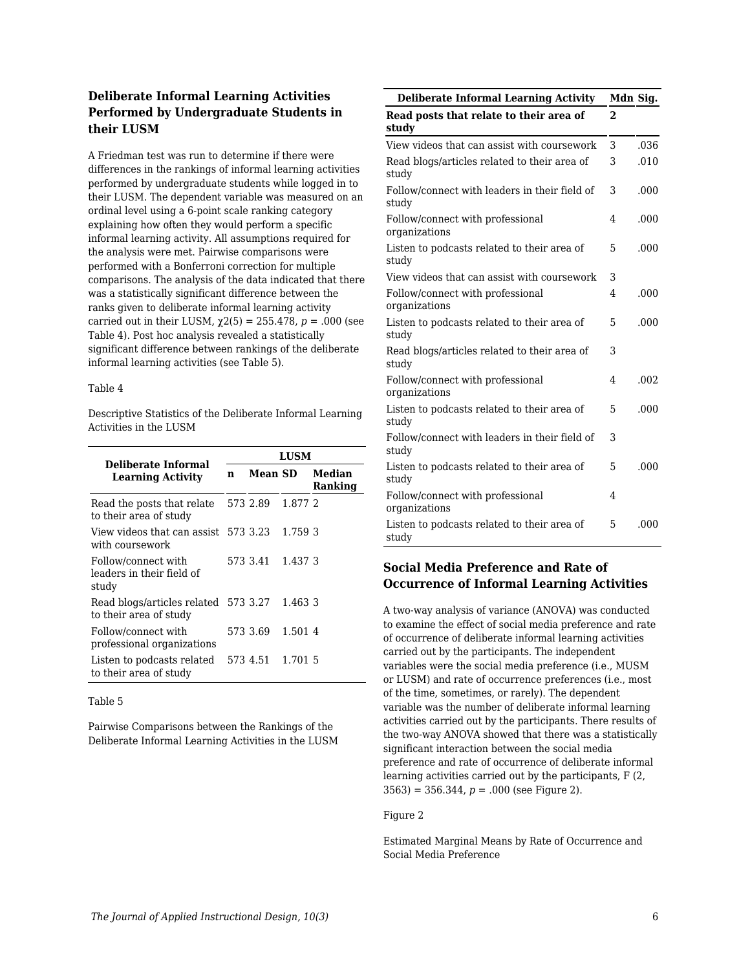# **Deliberate Informal Learning Activities Performed by Undergraduate Students in their LUSM**

A Friedman test was run to determine if there were differences in the rankings of informal learning activities performed by undergraduate students while logged in to their LUSM. The dependent variable was measured on an ordinal level using a 6-point scale ranking category explaining how often they would perform a specific informal learning activity. All assumptions required for the analysis were met. Pairwise comparisons were performed with a Bonferroni correction for multiple comparisons. The analysis of the data indicated that there was a statistically significant difference between the ranks given to deliberate informal learning activity carried out in their LUSM,  $χ$ 2(5) = 255.478, *p* = .000 (see Table 4). Post hoc analysis revealed a statistically significant difference between rankings of the deliberate informal learning activities (see Table 5).

#### Table 4

Descriptive Statistics of the Deliberate Informal Learning Activities in the LUSM

| Deliberate Informal                                            | LUSM |          |         |                   |
|----------------------------------------------------------------|------|----------|---------|-------------------|
| <b>Learning Activity</b>                                       |      | Mean SD  |         | Median<br>Ranking |
| Read the posts that relate<br>to their area of study           |      | 573 2.89 | 1.877 2 |                   |
| View videos that can assist 573 3.23<br>with coursework        |      |          | 1.759 3 |                   |
| Follow/connect with<br>leaders in their field of<br>study      |      | 573 3.41 | 1.4373  |                   |
| Read blogs/articles related 573 3.27<br>to their area of study |      |          | 1.463 3 |                   |
| Follow/connect with<br>professional organizations              |      | 573 3.69 | 1.5014  |                   |
| Listen to podcasts related<br>to their area of study           |      | 573 4.51 | 1.701 5 |                   |

#### Table 5

Pairwise Comparisons between the Rankings of the Deliberate Informal Learning Activities in the LUSM

| <b>Deliberate Informal Learning Activity</b>           |   | Mdn Sig. |
|--------------------------------------------------------|---|----------|
| Read posts that relate to their area of<br>study       | 2 |          |
| View videos that can assist with coursework            | 3 | .036     |
| Read blogs/articles related to their area of<br>study  | 3 | .010     |
| Follow/connect with leaders in their field of<br>study | 3 | .000     |
| Follow/connect with professional<br>organizations      | 4 | .000     |
| Listen to podcasts related to their area of<br>study   | 5 | .000     |
| View videos that can assist with coursework            | 3 |          |
| Follow/connect with professional<br>organizations      | 4 | .000     |
| Listen to podcasts related to their area of<br>study   | 5 | .000     |
| Read blogs/articles related to their area of<br>study  | 3 |          |
| Follow/connect with professional<br>organizations      | 4 | .002     |
| Listen to podcasts related to their area of<br>study   | 5 | .000     |
| Follow/connect with leaders in their field of<br>study | 3 |          |
| Listen to podcasts related to their area of<br>study   | 5 | .000     |
| Follow/connect with professional<br>organizations      | 4 |          |
| Listen to podcasts related to their area of<br>study   | 5 | .000     |

# **Social Media Preference and Rate of Occurrence of Informal Learning Activities**

A two-way analysis of variance (ANOVA) was conducted to examine the effect of social media preference and rate of occurrence of deliberate informal learning activities carried out by the participants. The independent variables were the social media preference (i.e., MUSM or LUSM) and rate of occurrence preferences (i.e., most of the time, sometimes, or rarely). The dependent variable was the number of deliberate informal learning activities carried out by the participants. There results of the two-way ANOVA showed that there was a statistically significant interaction between the social media preference and rate of occurrence of deliberate informal learning activities carried out by the participants, F (2,  $3563$ ) = 356.344,  $p = .000$  (see Figure 2).

#### Figure 2

Estimated Marginal Means by Rate of Occurrence and Social Media Preference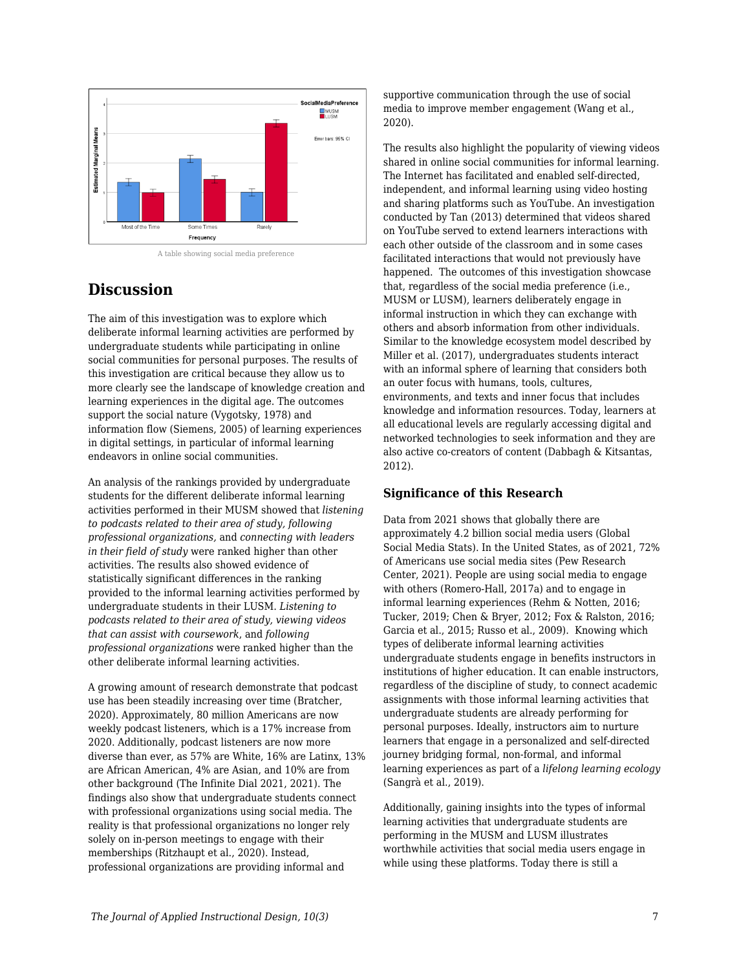

A table showing social media preference

# **Discussion**

The aim of this investigation was to explore which deliberate informal learning activities are performed by undergraduate students while participating in online social communities for personal purposes. The results of this investigation are critical because they allow us to more clearly see the landscape of knowledge creation and learning experiences in the digital age. The outcomes support the social nature (Vygotsky, 1978) and information flow (Siemens, 2005) of learning experiences in digital settings, in particular of informal learning endeavors in online social communities.

An analysis of the rankings provided by undergraduate students for the different deliberate informal learning activities performed in their MUSM showed that *listening to podcasts related to their area of study, following professional organizations,* and *connecting with leaders in their field of study* were ranked higher than other activities*.* The results also showed evidence of statistically significant differences in the ranking provided to the informal learning activities performed by undergraduate students in their LUSM. *Listening to podcasts related to their area of study, viewing videos that can assist with coursework*, and *following professional organizations* were ranked higher than the other deliberate informal learning activities*.*

A growing amount of research demonstrate that podcast use has been steadily increasing over time (Bratcher, 2020). Approximately, 80 million Americans are now weekly podcast listeners, which is a 17% increase from 2020. Additionally, podcast listeners are now more diverse than ever, as 57% are White, 16% are Latinx, 13% are African American, 4% are Asian, and 10% are from other background (The Infinite Dial 2021, 2021). The findings also show that undergraduate students connect with professional organizations using social media. The reality is that professional organizations no longer rely solely on in-person meetings to engage with their memberships (Ritzhaupt et al., 2020). Instead, professional organizations are providing informal and

supportive communication through the use of social media to improve member engagement (Wang et al., 2020).

The results also highlight the popularity of viewing videos shared in online social communities for informal learning. The Internet has facilitated and enabled self-directed, independent, and informal learning using video hosting and sharing platforms such as YouTube. An investigation conducted by Tan (2013) determined that videos shared on YouTube served to extend learners interactions with each other outside of the classroom and in some cases facilitated interactions that would not previously have happened. The outcomes of this investigation showcase that, regardless of the social media preference (i.e., MUSM or LUSM), learners deliberately engage in informal instruction in which they can exchange with others and absorb information from other individuals. Similar to the knowledge ecosystem model described by Miller et al. (2017), undergraduates students interact with an informal sphere of learning that considers both an outer focus with humans, tools, cultures, environments, and texts and inner focus that includes knowledge and information resources. Today, learners at all educational levels are regularly accessing digital and networked technologies to seek information and they are also active co-creators of content (Dabbagh & Kitsantas, 2012).

# **Significance of this Research**

Data from 2021 shows that globally there are approximately 4.2 billion social media users (Global Social Media Stats). In the United States, as of 2021, 72% of Americans use social media sites (Pew Research Center, 2021). People are using social media to engage with others (Romero-Hall, 2017a) and to engage in informal learning experiences (Rehm & Notten, 2016; Tucker, 2019; Chen & Bryer, 2012; Fox & Ralston, 2016; Garcia et al., 2015; Russo et al., 2009). Knowing which types of deliberate informal learning activities undergraduate students engage in benefits instructors in institutions of higher education. It can enable instructors, regardless of the discipline of study, to connect academic assignments with those informal learning activities that undergraduate students are already performing for personal purposes. Ideally, instructors aim to nurture learners that engage in a personalized and self-directed journey bridging formal, non-formal, and informal learning experiences as part of a *lifelong learning ecology* (Sangrà et al., 2019).

Additionally, gaining insights into the types of informal learning activities that undergraduate students are performing in the MUSM and LUSM illustrates worthwhile activities that social media users engage in while using these platforms. Today there is still a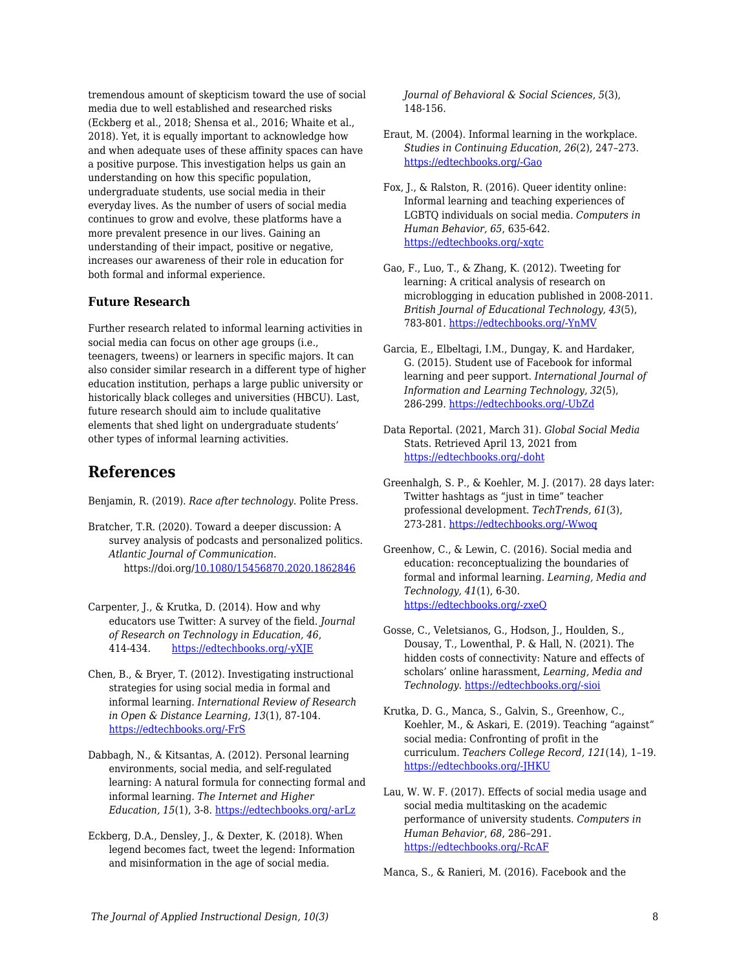tremendous amount of skepticism toward the use of social media due to well established and researched risks (Eckberg et al., 2018; Shensa et al., 2016; Whaite et al., 2018). Yet, it is equally important to acknowledge how and when adequate uses of these affinity spaces can have a positive purpose. This investigation helps us gain an understanding on how this specific population, undergraduate students, use social media in their everyday lives. As the number of users of social media continues to grow and evolve, these platforms have a more prevalent presence in our lives. Gaining an understanding of their impact, positive or negative, increases our awareness of their role in education for both formal and informal experience.

#### **Future Research**

Further research related to informal learning activities in social media can focus on other age groups (i.e., teenagers, tweens) or learners in specific majors. It can also consider similar research in a different type of higher education institution, perhaps a large public university or historically black colleges and universities (HBCU). Last, future research should aim to include qualitative elements that shed light on undergraduate students' other types of informal learning activities.

# **References**

Benjamin, R. (2019). *Race after technology*. Polite Press.

- Bratcher, T.R. (2020). Toward a deeper discussion: A survey analysis of podcasts and personalized politics. *Atlantic Journal of Communication*. https://doi.org/[10.1080/15456870.2020.1862846](https://doi-org.esearch.ut.edu/10.1080/15456870.2020.1862846)
- Carpenter, J., & Krutka, D. (2014). How and why educators use Twitter: A survey of the field. *Journal of Research on Technology in Education, 46*, 414-434. [https://edtechbooks.org/-yXJE](https://doi.org/10.1080/15391523.2014.925701)
- Chen, B., & Bryer, T. (2012). Investigating instructional strategies for using social media in formal and informal learning. *International Review of Research in Open & Distance Learning, 13*(1), 87-104. [https://edtechbooks.org/-FrS](https://doi.org/10.19173/irrodl.v13i1.1027)
- Dabbagh, N., & Kitsantas, A. (2012). Personal learning environments, social media, and self-regulated learning: A natural formula for connecting formal and informal learning. *The Internet and Higher Education, 15*(1), 3-8. [https://edtechbooks.org/-arLz](http://dx.doi.org/10.1016/j.iheduc.2011.06.002)
- Eckberg, D.A., Densley, J., & Dexter, K. (2018). When legend becomes fact, tweet the legend: Information and misinformation in the age of social media*.*

*Journal of Behavioral & Social Sciences*, *5*(3), 148-156.

- Eraut, M. (2004). Informal learning in the workplace. *Studies in Continuing Education*, *26*(2), 247–273. [https://edtechbooks.org/-Gao](https://doi.org/10.1080/158037042000225245)
- Fox, J., & Ralston, R. (2016). Queer identity online: Informal learning and teaching experiences of LGBTQ individuals on social media. *Computers in Human Behavior, 65*, 635-642. [https://edtechbooks.org/-xqtc](https://doi.org/10.1016/j.chb.2016.06.009)
- Gao, F., Luo, T., & Zhang, K. (2012). Tweeting for learning: A critical analysis of research on microblogging in education published in 2008-2011. *British Journal of Educational Technology, 43*(5), 783-801. [https://edtechbooks.org/-YnMV](http://dx.doi.org/10.1111/j.1467-8535.2012.01357.x)
- Garcia, E., Elbeltagi, I.M., Dungay, K. and Hardaker, G. (2015). Student use of Facebook for informal learning and peer support. *International Journal of Information and Learning Technology, 32*(5), 286-299. [https://edtechbooks.org/-UbZd](https://doi.org/10.1108/IJILT-09-2015-0024)
- Data Reportal. (2021, March 31). *Global Social Media* Stats. Retrieved April 13, 2021 from [https://edtechbooks.org/-doht](https://datareportal.com/social-media-users)
- Greenhalgh, S. P., & Koehler, M. J. (2017). 28 days later: Twitter hashtags as "just in time" teacher professional development. *TechTrends, 61*(3), 273-281. [https://edtechbooks.org/-Wwoq](http://dx.doi.org/10.1007/s11528-016-0142-4)
- Greenhow, C., & Lewin, C. (2016). Social media and education: reconceptualizing the boundaries of formal and informal learning. *Learning, Media and Technology, 41*(1), 6-30. [https://edtechbooks.org/-zxeQ](http://dx.doi.org/10.1080/17439884.2015.1064954)
- Gosse, C., Veletsianos, G., Hodson, J., Houlden, S., Dousay, T., Lowenthal, P. & Hall, N. (2021). The hidden costs of connectivity: Nature and effects of scholars' online harassment, *Learning, Media and Technology*. [https://edtechbooks.org/-sioi](http://dx.doi.org/10.1080/17439884.2021.1878218)
- Krutka, D. G., Manca, S., Galvin, S., Greenhow, C., Koehler, M., & Askari, E. (2019). Teaching "against" social media: Confronting of profit in the curriculum. *Teachers College Record, 121*(14), 1–19. [https://edtechbooks.org/-JHKU](https://www-tcrecord-org.esearch.ut.edu/library)
- Lau, W. W. F. (2017). Effects of social media usage and social media multitasking on the academic performance of university students. *Computers in Human Behavior*, *68*, 286–291. [https://edtechbooks.org/-RcAF](https://doi-org.esearch.ut.edu/10.1016/j.chb.2016.11.043)

Manca, S., & Ranieri, M. (2016). Facebook and the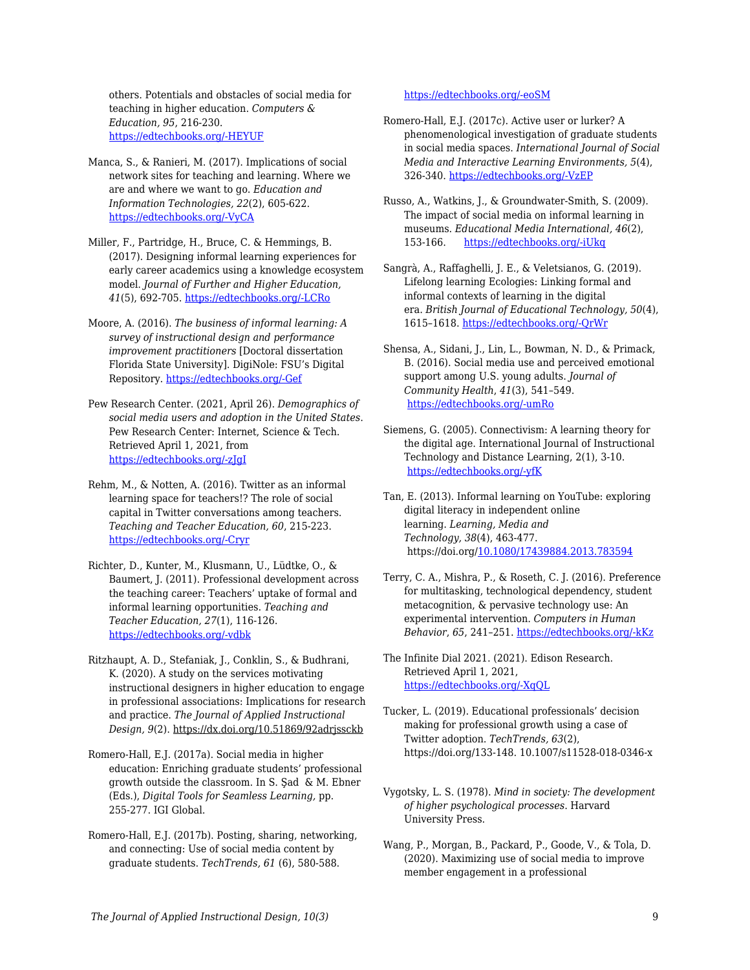others. Potentials and obstacles of social media for teaching in higher education. *Computers & Education, 95*, 216-230. [https://edtechbooks.org/-HEYUF](https://doi.org/10.1016/j.compedu.2016.01.012)

- Manca, S., & Ranieri, M. (2017). Implications of social network sites for teaching and learning. Where we are and where we want to go. *Education and Information Technologies, 22*(2), 605-622. [https://edtechbooks.org/-VyCA](http://dx.doi.org/10.1007/s10639-015-9429-x)
- Miller, F., Partridge, H., Bruce, C. & Hemmings, B. (2017). Designing informal learning experiences for early career academics using a knowledge ecosystem model. *Journal of Further and Higher Education, 41*(5), 692-705. [https://edtechbooks.org/-LCRo](http://dx.doi.org/10.1080/0309877X.2016.1177165)
- Moore, A. (2016). *The business of informal learning: A survey of instructional design and performance improvement practitioners* [Doctoral dissertation Florida State University]. DigiNole: FSU's Digital Repository. [https://edtechbooks.org/-Gef](http://purl.flvc.org/fsu/fd/FSU_FA2016_Moore_fsu_0071E_13493)
- Pew Research Center. (2021, April 26). *Demographics of social media users and adoption in the United States*. Pew Research Center: Internet, Science & Tech. Retrieved April 1, 2021, from [https://edtechbooks.org/-zJgI](https://www.pewresearch.org/internet/fact-sheet/social-media)
- Rehm, M., & Notten, A. (2016). Twitter as an informal learning space for teachers!? The role of social capital in Twitter conversations among teachers. *Teaching and Teacher Education, 60*, 215-223. [https://edtechbooks.org/-Cryr](https://doi.org/10.1016/j.tate.2016.08.015)
- Richter, D., Kunter, M., Klusmann, U., Lüdtke, O., & Baumert, J. (2011). Professional development across the teaching career: Teachers' uptake of formal and informal learning opportunities. *Teaching and Teacher Education, 27*(1), 116-126. [https://edtechbooks.org/-vdbk](https://doi-org.esearch.ut.edu/10.1016/j.tate.2010.07.008)
- Ritzhaupt, A. D., Stefaniak, J., Conklin, S., & Budhrani, K. (2020). A study on the services motivating instructional designers in higher education to engage in professional associations: Implications for research and practice. *The Journal of Applied Instructional Design, 9*(2). https://dx.doi.org/10.51869/92adrjssckb

Romero-Hall, E.J. (2017a). Social media in higher education: Enriching graduate students' professional growth outside the classroom. In S. Şad & M. Ebner (Eds.), *Digital Tools for Seamless Learning,* pp. 255-277. IGI Global.

Romero-Hall, E.J. (2017b). Posting, sharing, networking, and connecting: Use of social media content by graduate students. *TechTrends, 61* (6), 580-588.

#### [https://edtechbooks.org/-eoSM](https://doi.org/10.1007/s11528-017-0173-5)

- Romero-Hall, E.J. (2017c). Active user or lurker? A phenomenological investigation of graduate students in social media spaces. *International Journal of Social Media and Interactive Learning Environments, 5*(4), 326-340. [https://edtechbooks.org/-VzEP](https://doi.org/10.1504/IJSMILE.2017.10012109)
- Russo, A., Watkins, J., & Groundwater‐Smith, S. (2009). The impact of social media on informal learning in museums. *Educational Media International, 46*(2), 153-166. [https://edtechbooks.org/-iUkq](https://doi.org/10.1080/09523980902933532)
- Sangrà, A., Raffaghelli, J. E., & Veletsianos, G. (2019). Lifelong learning Ecologies: Linking formal and informal contexts of learning in the digital era. *British Journal of Educational Technology, 50*(4), 1615–1618. [https://edtechbooks.org/-QrWr](https://doi.org/10.1111/bjet.12828)
- Shensa, A., Sidani, J., Lin, L., Bowman, N. D., & Primack, B. (2016). Social media use and perceived emotional support among U.S. young adults. *Journal of Community Health*, *41*(3), 541–549. [https://edtechbooks.org/-umRo](https://doi.org/10.1007/s10900-015-0128-8)
- Siemens, G. (2005). Connectivism: A learning theory for the digital age. International Journal of Instructional Technology and Distance Learning, 2(1), 3-10. [https://edtechbooks.org/-yfK](http://www.itdl.org/Journal/Jan_05/article01.htm)
- Tan, E. (2013). Informal learning on YouTube: exploring digital literacy in independent online learning. *Learning, Media and Technology, 38*(4), 463-477. https://doi.org[/10.1080/17439884.2013.783594](https://doi-org.esearch.ut.edu/10.1080/17439884.2013.783594)
- Terry, C. A., Mishra, P., & Roseth, C. J. (2016). Preference for multitasking, technological dependency, student metacognition, & pervasive technology use: An experimental intervention. *Computers in Human Behavior*, *65*, 241–251. [https://edtechbooks.org/-kKz](https://doi-org.esearch.ut.edu/10.1016/j.chb.2016.08.009)
- The Infinite Dial 2021. (2021). Edison Research. Retrieved April 1, 2021, [https://edtechbooks.org/-XqQL](https://www.edisonresearch.com/the-infinite-dial-2021-2/)
- Tucker, L. (2019). Educational professionals' decision making for professional growth using a case of Twitter adoption. *TechTrends, 63*(2), https://doi.org/133-148. 10.1007/s11528-018-0346-x
- Vygotsky, L. S. (1978). *Mind in society: The development of higher psychological processes*. Harvard University Press.
- Wang, P., Morgan, B., Packard, P., Goode, V., & Tola, D. (2020). Maximizing use of social media to improve member engagement in a professional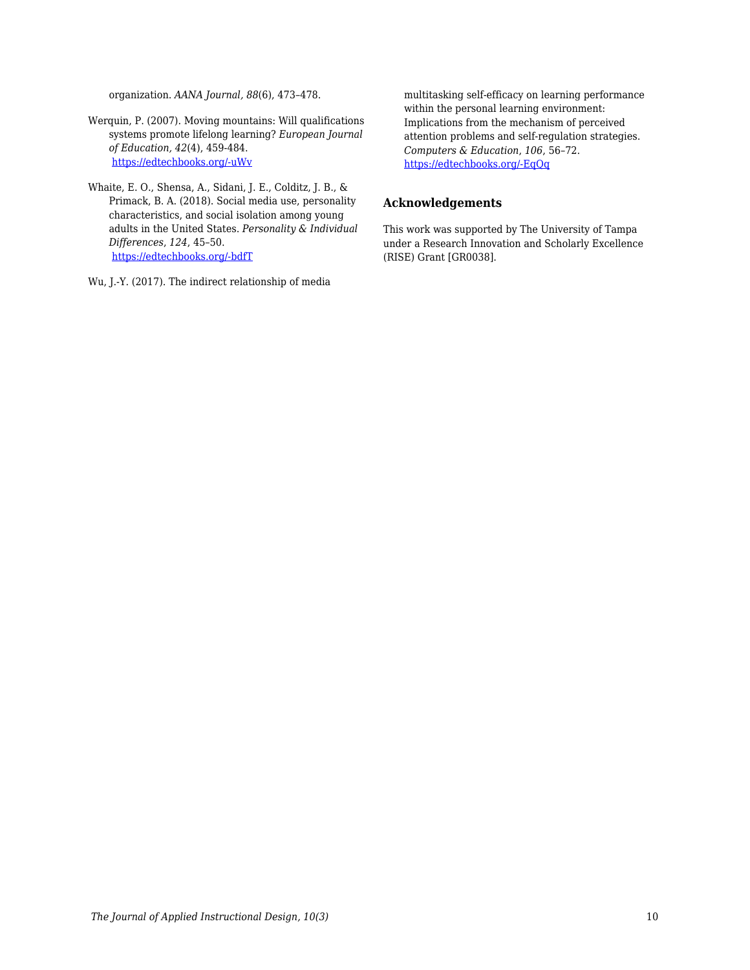organization. *AANA Journal, 88*(6), 473–478.

- Werquin, P. (2007). Moving mountains: Will qualifications systems promote lifelong learning? *European Journal of Education, 42*(4), 459-484. [https://edtechbooks.org/-uWv](https://doi.org/10.1111/j.1465-3435.2007.00327.x)
- Whaite, E. O., Shensa, A., Sidani, J. E., Colditz, J. B., & Primack, B. A. (2018). Social media use, personality characteristics, and social isolation among young adults in the United States. *Personality & Individual Differences*, *124*, 45–50. [https://edtechbooks.org/-bdfT](https://doi.org/10.1016/j.paid.2017.10.030)

Wu, J.-Y. (2017). The indirect relationship of media

multitasking self-efficacy on learning performance within the personal learning environment: Implications from the mechanism of perceived attention problems and self-regulation strategies. *Computers & Education*, *106*, 56–72. [https://edtechbooks.org/-EqQq](https://doi-org.esearch.ut.edu/10.1016/j.compedu.2016.10.010)

#### **Acknowledgements**

This work was supported by The University of Tampa under a Research Innovation and Scholarly Excellence (RISE) Grant [GR0038].